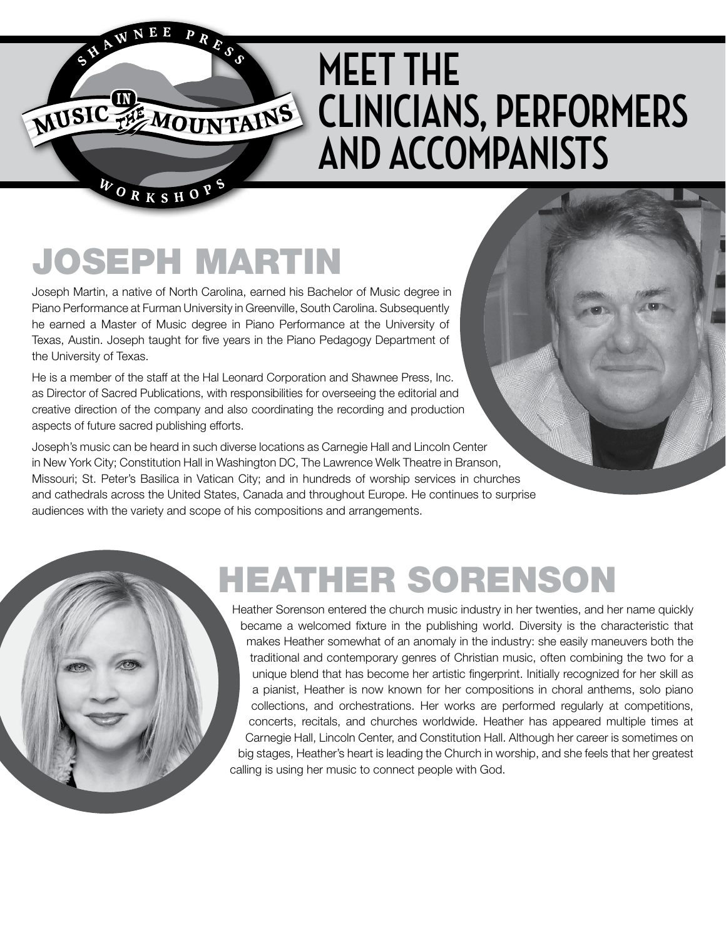# **MEET THE CLINICIANS, PERFORMERS AND ACCOMPANISTS**

## JOSEPH MARTIN

PRESS

NEE

MUSIC THE MOUNTAINS

WORKSHOPS

Joseph Martin, a native of North Carolina, earned his Bachelor of Music degree in Piano Performance at Furman University in Greenville, South Carolina. Subsequently he earned a Master of Music degree in Piano Performance at the University of Texas, Austin. Joseph taught for five years in the Piano Pedagogy Department of the University of Texas.

He is a member of the staff at the Hal Leonard Corporation and Shawnee Press, Inc. as Director of Sacred Publications, with responsibilities for overseeing the editorial and creative direction of the company and also coordinating the recording and production aspects of future sacred publishing efforts.

Joseph's music can be heard in such diverse locations as Carnegie Hall and Lincoln Center in New York City; Constitution Hall in Washington DC, The Lawrence Welk Theatre in Branson, Missouri; St. Peter's Basilica in Vatican City; and in hundreds of worship services in churches and cathedrals across the United States, Canada and throughout Europe. He continues to surprise audiences with the variety and scope of his compositions and arrangements.



Heather Sorenson entered the church music industry in her twenties, and her name quickly became a welcomed fixture in the publishing world. Diversity is the characteristic that makes Heather somewhat of an anomaly in the industry: she easily maneuvers both the traditional and contemporary genres of Christian music, often combining the two for a unique blend that has become her artistic fingerprint. Initially recognized for her skill as a pianist, Heather is now known for her compositions in choral anthems, solo piano collections, and orchestrations. Her works are performed regularly at competitions, concerts, recitals, and churches worldwide. Heather has appeared multiple times at Carnegie Hall, Lincoln Center, and Constitution Hall. Although her career is sometimes on big stages, Heather's heart is leading the Church in worship, and she feels that her greatest calling is using her music to connect people with God.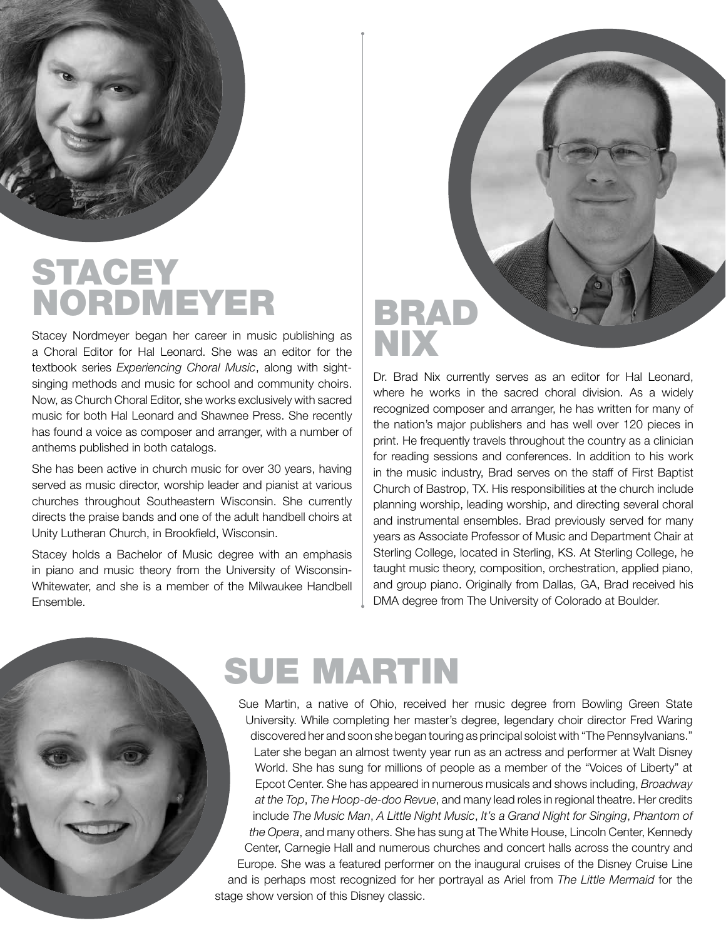

#### **STACEY** NORDMEYER

Stacey Nordmeyer began her career in music publishing as a Choral Editor for Hal Leonard. She was an editor for the textbook series *Experiencing Choral Music*, along with sightsinging methods and music for school and community choirs. Now, as Church Choral Editor, she works exclusively with sacred music for both Hal Leonard and Shawnee Press. She recently has found a voice as composer and arranger, with a number of anthems published in both catalogs.

She has been active in church music for over 30 years, having served as music director, worship leader and pianist at various churches throughout Southeastern Wisconsin. She currently directs the praise bands and one of the adult handbell choirs at Unity Lutheran Church, in Brookfield, Wisconsin.

Stacey holds a Bachelor of Music degree with an emphasis in piano and music theory from the University of Wisconsin-Whitewater, and she is a member of the Milwaukee Handbell Ensemble.

# BRAD NIX

Dr. Brad Nix currently serves as an editor for Hal Leonard, where he works in the sacred choral division. As a widely recognized composer and arranger, he has written for many of the nation's major publishers and has well over 120 pieces in print. He frequently travels throughout the country as a clinician for reading sessions and conferences. In addition to his work in the music industry, Brad serves on the staff of First Baptist Church of Bastrop, TX. His responsibilities at the church include planning worship, leading worship, and directing several choral and instrumental ensembles. Brad previously served for many years as Associate Professor of Music and Department Chair at Sterling College, located in Sterling, KS. At Sterling College, he taught music theory, composition, orchestration, applied piano, and group piano. Originally from Dallas, GA, Brad received his DMA degree from The University of Colorado at Boulder.

#### SUE MARTIN

Sue Martin, a native of Ohio, received her music degree from Bowling Green State University. While completing her master's degree, legendary choir director Fred Waring discovered her and soon she began touring as principal soloist with "The Pennsylvanians." Later she began an almost twenty year run as an actress and performer at Walt Disney World. She has sung for millions of people as a member of the "Voices of Liberty" at Epcot Center. She has appeared in numerous musicals and shows including, *Broadway at the Top*, *The Hoop-de-doo Revue*, and many lead roles in regional theatre. Her credits include *The Music Man*, *A Little Night Music*, *It's a Grand Night for Singing*, *Phantom of the Opera*, and many others. She has sung at The White House, Lincoln Center, Kennedy Center, Carnegie Hall and numerous churches and concert halls across the country and Europe. She was a featured performer on the inaugural cruises of the Disney Cruise Line and is perhaps most recognized for her portrayal as Ariel from *The Little Mermaid* for the stage show version of this Disney classic.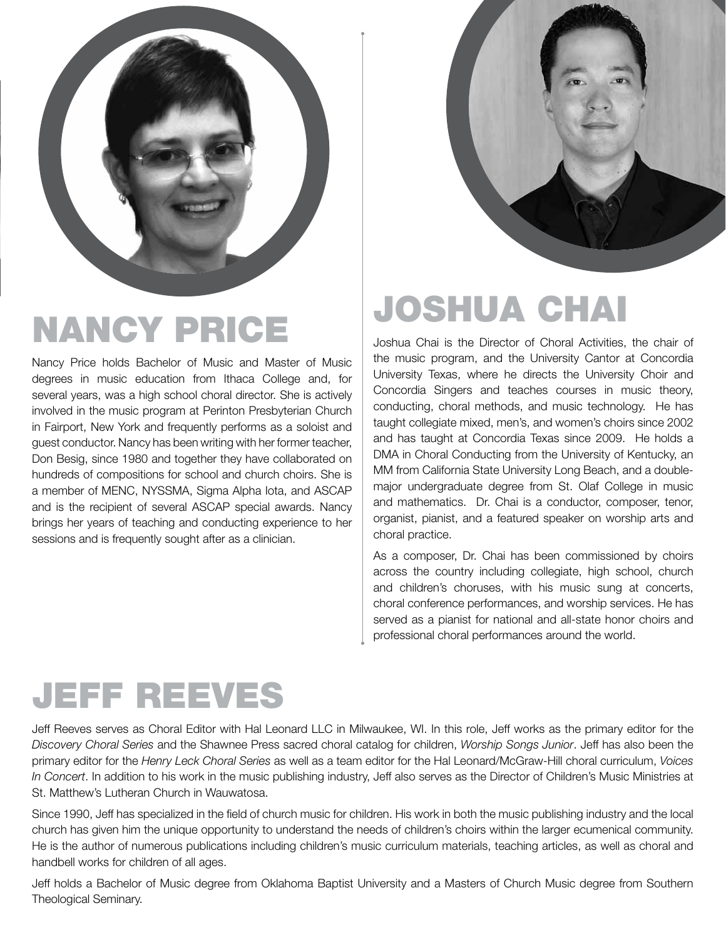

# NANCY PRICE

Nancy Price holds Bachelor of Music and Master of Music degrees in music education from Ithaca College and, for several years, was a high school choral director. She is actively involved in the music program at Perinton Presbyterian Church in Fairport, New York and frequently performs as a soloist and guest conductor. Nancy has been writing with her former teacher, Don Besig, since 1980 and together they have collaborated on hundreds of compositions for school and church choirs. She is a member of MENC, NYSSMA, Sigma Alpha Iota, and ASCAP and is the recipient of several ASCAP special awards. Nancy brings her years of teaching and conducting experience to her sessions and is frequently sought after as a clinician.



### JOSHUA CHAI

Joshua Chai is the Director of Choral Activities, the chair of the music program, and the University Cantor at Concordia University Texas, where he directs the University Choir and Concordia Singers and teaches courses in music theory, conducting, choral methods, and music technology. He has taught collegiate mixed, men's, and women's choirs since 2002 and has taught at Concordia Texas since 2009. He holds a DMA in Choral Conducting from the University of Kentucky, an MM from California State University Long Beach, and a doublemajor undergraduate degree from St. Olaf College in music and mathematics. Dr. Chai is a conductor, composer, tenor, organist, pianist, and a featured speaker on worship arts and choral practice.

As a composer, Dr. Chai has been commissioned by choirs across the country including collegiate, high school, church and children's choruses, with his music sung at concerts, choral conference performances, and worship services. He has served as a pianist for national and all-state honor choirs and professional choral performances around the world.

#### JEFF REEVES

Jeff Reeves serves as Choral Editor with Hal Leonard LLC in Milwaukee, WI. In this role, Jeff works as the primary editor for the *Discovery Choral Series* and the Shawnee Press sacred choral catalog for children, *Worship Songs Junior*. Jeff has also been the primary editor for the *Henry Leck Choral Series* as well as a team editor for the Hal Leonard/McGraw-Hill choral curriculum, *Voices In Concert*. In addition to his work in the music publishing industry, Jeff also serves as the Director of Children's Music Ministries at St. Matthew's Lutheran Church in Wauwatosa.

Since 1990, Jeff has specialized in the field of church music for children. His work in both the music publishing industry and the local church has given him the unique opportunity to understand the needs of children's choirs within the larger ecumenical community. He is the author of numerous publications including children's music curriculum materials, teaching articles, as well as choral and handbell works for children of all ages.

Jeff holds a Bachelor of Music degree from Oklahoma Baptist University and a Masters of Church Music degree from Southern Theological Seminary.